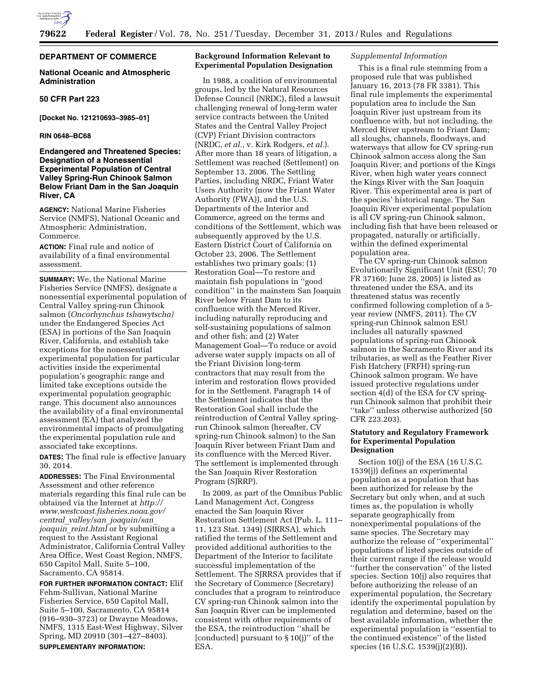

# **DEPARTMENT OF COMMERCE**

# **National Oceanic and Atmospheric Administration**

# **50 CFR Part 223**

**[Docket No. 121210693–3985–01]** 

## **RIN 0648–BC68**

# **Endangered and Threatened Species: Designation of a Nonessential Experimental Population of Central Valley Spring-Run Chinook Salmon Below Friant Dam in the San Joaquin River, CA**

**AGENCY:** National Marine Fisheries Service (NMFS), National Oceanic and Atmospheric Administration, Commerce.

**ACTION:** Final rule and notice of availability of a final environmental assessment.

**SUMMARY:** We, the National Marine Fisheries Service (NMFS), designate a nonessential experimental population of Central Valley spring-run Chinook salmon (*Oncorhynchus tshawytscha)*  under the Endangered Species Act (ESA) in portions of the San Joaquin River, California, and establish take exceptions for the nonessential experimental population for particular activities inside the experimental population's geographic range and limited take exceptions outside the experimental population geographic range. This document also announces the availability of a final environmental assessment (EA) that analyzed the environmental impacts of promulgating the experimental population rule and associated take exceptions.

**DATES:** The final rule is effective January 30, 2014.

**ADDRESSES:** The Final Environmental Assessment and other reference materials regarding this final rule can be obtained via the Internet at *[http://](http://www.westcoast.fisheries.noaa.gov/central_valley/san_joaquin/san_joaquin_reint.html) [www.westcoast.fisheries.noaa.gov/](http://www.westcoast.fisheries.noaa.gov/central_valley/san_joaquin/san_joaquin_reint.html) central*\_*valley/san*\_*[joaquin/san](http://www.westcoast.fisheries.noaa.gov/central_valley/san_joaquin/san_joaquin_reint.html)*\_ *joaquin*\_*[reint.html](http://www.westcoast.fisheries.noaa.gov/central_valley/san_joaquin/san_joaquin_reint.html)* or by submitting a request to the Assistant Regional Administrator, California Central Valley Area Office, West Coast Region, NMFS, 650 Capitol Mall, Suite 5–100, Sacramento, CA 95814.

**FOR FURTHER INFORMATION CONTACT:** Elif Fehm-Sullivan, National Marine Fisheries Service, 650 Capitol Mall, Suite 5–100, Sacramento, CA 95814 (916–930–3723) or Dwayne Meadows, NMFS, 1315 East-West Highway, Silver Spring, MD 20910 (301–427–8403). **SUPPLEMENTARY INFORMATION:** 

# **Background Information Relevant to Experimental Population Designation**

In 1988, a coalition of environmental groups, led by the Natural Resources Defense Council (NRDC), filed a lawsuit challenging renewal of long-term water service contracts between the United States and the Central Valley Project (CVP) Friant Division contractors (NRDC, *et al.,* v. Kirk Rodgers, *et al.*). After more than 18 years of litigation, a Settlement was reached (Settlement) on September 13, 2006. The Settling Parties, including NRDC, Friant Water Users Authority (now the Friant Water Authority (FWA)), and the U.S. Departments of the Interior and Commerce, agreed on the terms and conditions of the Settlement, which was subsequently approved by the U.S. Eastern District Court of California on October 23, 2006. The Settlement establishes two primary goals: (1) Restoration Goal—To restore and maintain fish populations in ''good condition'' in the mainstem San Joaquin River below Friant Dam to its confluence with the Merced River, including naturally reproducing and self-sustaining populations of salmon and other fish; and (2) Water Management Goal—To reduce or avoid adverse water supply impacts on all of the Friant Division long-term contractors that may result from the interim and restoration flows provided for in the Settlement. Paragraph 14 of the Settlement indicates that the Restoration Goal shall include the reintroduction of Central Valley springrun Chinook salmon (hereafter, CV spring-run Chinook salmon) to the San Joaquin River between Friant Dam and its confluence with the Merced River. The settlement is implemented through the San Joaquin River Restoration Program (SJRRP).

In 2009, as part of the Omnibus Public Land Management Act, Congress enacted the San Joaquin River Restoration Settlement Act (Pub. L. 111– 11, 123 Stat. 1349) (SJRRSA), which ratified the terms of the Settlement and provided additional authorities to the Department of the Interior to facilitate successful implementation of the Settlement. The SJRRSA provides that if the Secretary of Commerce (Secretary) concludes that a program to reintroduce CV spring-run Chinook salmon into the San Joaquin River can be implemented consistent with other requirements of the ESA, the reintroduction ''shall be [conducted] pursuant to § 10(j)'' of the ESA.

# *Supplemental Information*

This is a final rule stemming from a proposed rule that was published January 16, 2013 (78 FR 3381). This final rule implements the experimental population area to include the San Joaquin River just upstream from its confluence with, but not including, the Merced River upstream to Friant Dam; all sloughs, channels, floodways, and waterways that allow for CV spring-run Chinook salmon access along the San Joaquin River; and portions of the Kings River, when high water years connect the Kings River with the San Joaquin River. This experimental area is part of the species' historical range. The San Joaquin River experimental population is all CV spring-run Chinook salmon, including fish that have been released or propagated, naturally or artificially, within the defined experimental population area.

The CV spring-run Chinook salmon Evolutionarily Significant Unit (ESU; 70 FR 37160; June 28, 2005) is listed as threatened under the ESA, and its threatened status was recently confirmed following completion of a 5 year review (NMFS, 2011). The CV spring-run Chinook salmon ESU includes all naturally spawned populations of spring-run Chinook salmon in the Sacramento River and its tributaries, as well as the Feather River Fish Hatchery (FRFH) spring-run Chinook salmon program. We have issued protective regulations under section 4(d) of the ESA for CV springrun Chinook salmon that prohibit their ''take'' unless otherwise authorized (50 CFR 223.203).

# **Statutory and Regulatory Framework for Experimental Population Designation**

Section 10(j) of the ESA (16 U.S.C. 1539(j)) defines an experimental population as a population that has been authorized for release by the Secretary but only when, and at such times as, the population is wholly separate geographically from nonexperimental populations of the same species. The Secretary may authorize the release of ''experimental'' populations of listed species outside of their current range if the release would ''further the conservation'' of the listed species. Section 10(j) also requires that before authorizing the release of an experimental population, the Secretary identify the experimental population by regulation and determine, based on the best available information, whether the experimental population is ''essential to the continued existence'' of the listed species (16 U.S.C. 1539(j)(2)(B)).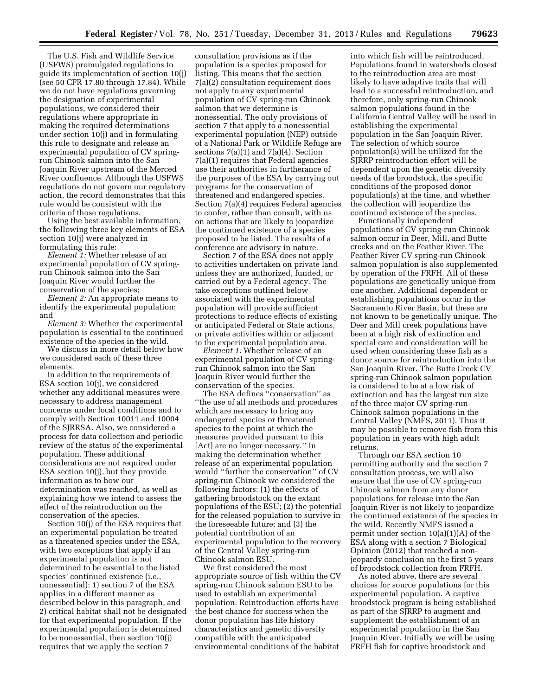The U.S. Fish and Wildlife Service (USFWS) promulgated regulations to guide its implementation of section 10(j) (see 50 CFR 17.80 through 17.84). While we do not have regulations governing the designation of experimental populations, we considered their regulations where appropriate in making the required determinations under section 10(j) and in formulating this rule to designate and release an experimental population of CV springrun Chinook salmon into the San Joaquin River upstream of the Merced River confluence. Although the USFWS regulations do not govern our regulatory action, the record demonstrates that this rule would be consistent with the criteria of those regulations.

Using the best available information, the following three key elements of ESA section 10(j) were analyzed in formulating this rule:

*Element 1:* Whether release of an experimental population of CV springrun Chinook salmon into the San Joaquin River would further the conservation of the species;

*Element 2:* An appropriate means to identify the experimental population; and

*Element 3:* Whether the experimental population is essential to the continued existence of the species in the wild.

We discuss in more detail below how we considered each of these three elements.

In addition to the requirements of ESA section 10(j), we considered whether any additional measures were necessary to address management concerns under local conditions and to comply with Section 10011 and 10004 of the SJRRSA. Also, we considered a process for data collection and periodic review of the status of the experimental population. These additional considerations are not required under ESA section 10(j), but they provide information as to how our determination was reached, as well as explaining how we intend to assess the effect of the reintroduction on the conservation of the species.

Section 10(j) of the ESA requires that an experimental population be treated as a threatened species under the ESA, with two exceptions that apply if an experimental population is not determined to be essential to the listed species' continued existence (i.e., nonessential): 1) section 7 of the ESA applies in a different manner as described below in this paragraph, and 2) critical habitat shall not be designated for that experimental population. If the experimental population is determined to be nonessential, then section 10(j) requires that we apply the section 7

consultation provisions as if the population is a species proposed for listing. This means that the section 7(a)(2) consultation requirement does not apply to any experimental population of CV spring-run Chinook salmon that we determine is nonessential. The only provisions of section 7 that apply to a nonessential experimental population (NEP) outside of a National Park or Wildlife Refuge are sections  $7(a)(1)$  and  $7(a)(4)$ . Section 7(a)(1) requires that Federal agencies use their authorities in furtherance of the purposes of the ESA by carrying out programs for the conservation of threatened and endangered species. Section 7(a)(4) requires Federal agencies to confer, rather than consult, with us on actions that are likely to jeopardize the continued existence of a species proposed to be listed. The results of a conference are advisory in nature.

Section 7 of the ESA does not apply to activities undertaken on private land unless they are authorized, funded, or carried out by a Federal agency. The take exceptions outlined below associated with the experimental population will provide sufficient protections to reduce effects of existing or anticipated Federal or State actions, or private activities within or adjacent to the experimental population area.

*Element 1:* Whether release of an experimental population of CV springrun Chinook salmon into the San Joaquin River would further the conservation of the species.

The ESA defines ''conservation'' as ''the use of all methods and procedures which are necessary to bring any endangered species or threatened species to the point at which the measures provided pursuant to this [Act] are no longer necessary.'' In making the determination whether release of an experimental population would ''further the conservation'' of CV spring-run Chinook we considered the following factors: (1) the effects of gathering broodstock on the extant populations of the ESU; (2) the potential for the released population to survive in the foreseeable future; and (3) the potential contribution of an experimental population to the recovery of the Central Valley spring-run Chinook salmon ESU.

We first considered the most appropriate source of fish within the CV spring-run Chinook salmon ESU to be used to establish an experimental population. Reintroduction efforts have the best chance for success when the donor population has life history characteristics and genetic diversity compatible with the anticipated environmental conditions of the habitat

into which fish will be reintroduced. Populations found in watersheds closest to the reintroduction area are most likely to have adaptive traits that will lead to a successful reintroduction, and therefore, only spring-run Chinook salmon populations found in the California Central Valley will be used in establishing the experimental population in the San Joaquin River. The selection of which source population(s) will be utilized for the SJRRP reintroduction effort will be dependent upon the genetic diversity needs of the broodstock, the specific conditions of the proposed donor population(s) at the time, and whether the collection will jeopardize the continued existence of the species.

Functionally independent populations of CV spring-run Chinook salmon occur in Deer, Mill, and Butte creeks and on the Feather River. The Feather River CV spring-run Chinook salmon population is also supplemented by operation of the FRFH. All of these populations are genetically unique from one another. Additional dependent or establishing populations occur in the Sacramento River Basin, but these are not known to be genetically unique. The Deer and Mill creek populations have been at a high risk of extinction and special care and consideration will be used when considering these fish as a donor source for reintroduction into the San Joaquin River. The Butte Creek CV spring-run Chinook salmon population is considered to be at a low risk of extinction and has the largest run size of the three major CV spring-run Chinook salmon populations in the Central Valley (NMFS, 2011). Thus it may be possible to remove fish from this population in years with high adult returns.

Through our ESA section 10 permitting authority and the section 7 consultation process, we will also ensure that the use of CV spring-run Chinook salmon from any donor populations for release into the San Joaquin River is not likely to jeopardize the continued existence of the species in the wild. Recently NMFS issued a permit under section 10(a)(1)(A) of the ESA along with a section 7 Biological Opinion (2012) that reached a nonjeopardy conclusion on the first 5 years of broodstock collection from FRFH.

As noted above, there are several choices for source populations for this experimental population. A captive broodstock program is being established as part of the SJRRP to augment and supplement the establishment of an experimental population in the San Joaquin River. Initially we will be using FRFH fish for captive broodstock and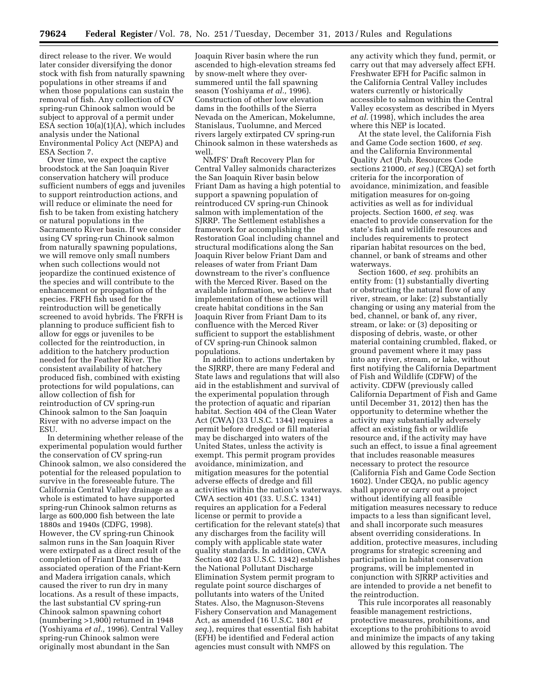direct release to the river. We would later consider diversifying the donor stock with fish from naturally spawning populations in other streams if and when those populations can sustain the removal of fish. Any collection of CV spring-run Chinook salmon would be subject to approval of a permit under ESA section 10(a)(1)(A), which includes analysis under the National Environmental Policy Act (NEPA) and ESA Section 7.

Over time, we expect the captive broodstock at the San Joaquin River conservation hatchery will produce sufficient numbers of eggs and juveniles to support reintroduction actions, and will reduce or eliminate the need for fish to be taken from existing hatchery or natural populations in the Sacramento River basin. If we consider using CV spring-run Chinook salmon from naturally spawning populations, we will remove only small numbers when such collections would not jeopardize the continued existence of the species and will contribute to the enhancement or propagation of the species. FRFH fish used for the reintroduction will be genetically screened to avoid hybrids. The FRFH is planning to produce sufficient fish to allow for eggs or juveniles to be collected for the reintroduction, in addition to the hatchery production needed for the Feather River. The consistent availability of hatchery produced fish, combined with existing protections for wild populations, can allow collection of fish for reintroduction of CV spring-run Chinook salmon to the San Joaquin River with no adverse impact on the ESU.

In determining whether release of the experimental population would further the conservation of CV spring-run Chinook salmon, we also considered the potential for the released population to survive in the foreseeable future. The California Central Valley drainage as a whole is estimated to have supported spring-run Chinook salmon returns as large as 600,000 fish between the late 1880s and 1940s (CDFG, 1998). However, the CV spring-run Chinook salmon runs in the San Joaquin River were extirpated as a direct result of the completion of Friant Dam and the associated operation of the Friant-Kern and Madera irrigation canals, which caused the river to run dry in many locations. As a result of these impacts, the last substantial CV spring-run Chinook salmon spawning cohort (numbering >1,900) returned in 1948 (Yoshiyama *et al.,* 1996). Central Valley spring-run Chinook salmon were originally most abundant in the San

Joaquin River basin where the run ascended to high-elevation streams fed by snow-melt where they oversummered until the fall spawning season (Yoshiyama *et al.,* 1996). Construction of other low elevation dams in the foothills of the Sierra Nevada on the American, Mokelumne, Stanislaus, Tuolumne, and Merced rivers largely extirpated CV spring-run Chinook salmon in these watersheds as well.

NMFS' Draft Recovery Plan for Central Valley salmonids characterizes the San Joaquin River basin below Friant Dam as having a high potential to support a spawning population of reintroduced CV spring-run Chinook salmon with implementation of the SJRRP. The Settlement establishes a framework for accomplishing the Restoration Goal including channel and structural modifications along the San Joaquin River below Friant Dam and releases of water from Friant Dam downstream to the river's confluence with the Merced River. Based on the available information, we believe that implementation of these actions will create habitat conditions in the San Joaquin River from Friant Dam to its confluence with the Merced River sufficient to support the establishment of CV spring-run Chinook salmon populations.

In addition to actions undertaken by the SJRRP, there are many Federal and State laws and regulations that will also aid in the establishment and survival of the experimental population through the protection of aquatic and riparian habitat. Section 404 of the Clean Water Act (CWA) (33 U.S.C. 1344) requires a permit before dredged or fill material may be discharged into waters of the United States, unless the activity is exempt. This permit program provides avoidance, minimization, and mitigation measures for the potential adverse effects of dredge and fill activities within the nation's waterways. CWA section 401 (33. U.S.C. 1341) requires an application for a Federal license or permit to provide a certification for the relevant state(s) that any discharges from the facility will comply with applicable state water quality standards. In addition, CWA Section 402 (33 U.S.C. 1342) establishes the National Pollutant Discharge Elimination System permit program to regulate point source discharges of pollutants into waters of the United States. Also, the Magnuson-Stevens Fishery Conservation and Management Act, as amended (16 U.S.C. 1801 *et seq.*), requires that essential fish habitat (EFH) be identified and Federal action agencies must consult with NMFS on

any activity which they fund, permit, or carry out that may adversely affect EFH. Freshwater EFH for Pacific salmon in the California Central Valley includes waters currently or historically accessible to salmon within the Central Valley ecosystem as described in Myers *et al.* (1998), which includes the area where this NEP is located.

At the state level, the California Fish and Game Code section 1600, *et seq.*  and the California Environmental Quality Act (Pub. Resources Code sections 21000, *et seq.*) (CEQA) set forth criteria for the incorporation of avoidance, minimization, and feasible mitigation measures for on-going activities as well as for individual projects. Section 1600, *et seq.* was enacted to provide conservation for the state's fish and wildlife resources and includes requirements to protect riparian habitat resources on the bed, channel, or bank of streams and other waterways.

Section 1600, *et seq.* prohibits an entity from: (1) substantially diverting or obstructing the natural flow of any river, stream, or lake: (2) substantially changing or using any material from the bed, channel, or bank of, any river, stream, or lake: or (3) depositing or disposing of debris, waste, or other material containing crumbled, flaked, or ground pavement where it may pass into any river, stream, or lake, without first notifying the California Department of Fish and Wildlife (CDFW) of the activity. CDFW (previously called California Department of Fish and Game until December 31, 2012) then has the opportunity to determine whether the activity may substantially adversely affect an existing fish or wildlife resource and, if the activity may have such an effect, to issue a final agreement that includes reasonable measures necessary to protect the resource (California Fish and Game Code Section 1602). Under CEQA, no public agency shall approve or carry out a project without identifying all feasible mitigation measures necessary to reduce impacts to a less than significant level, and shall incorporate such measures absent overriding considerations. In addition, protective measures, including programs for strategic screening and participation in habitat conservation programs, will be implemented in conjunction with SJRRP activities and are intended to provide a net benefit to the reintroduction.

This rule incorporates all reasonably feasible management restrictions, protective measures, prohibitions, and exceptions to the prohibitions to avoid and minimize the impacts of any taking allowed by this regulation. The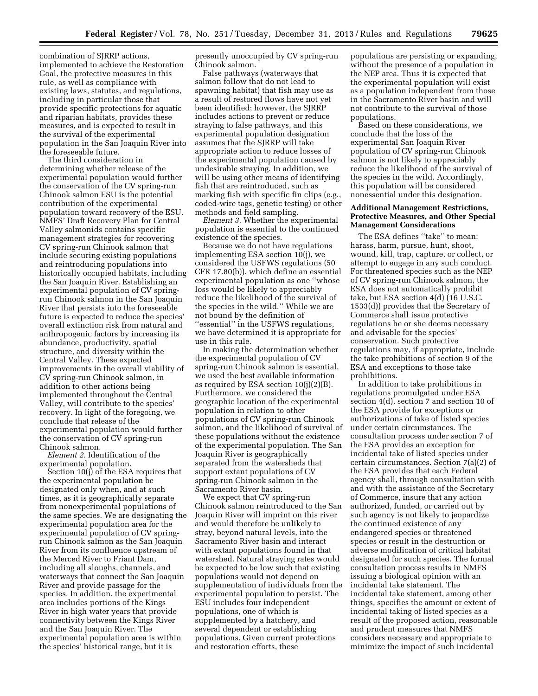combination of SJRRP actions, implemented to achieve the Restoration Goal, the protective measures in this rule, as well as compliance with existing laws, statutes, and regulations, including in particular those that provide specific protections for aquatic and riparian habitats, provides these measures, and is expected to result in the survival of the experimental population in the San Joaquin River into the foreseeable future.

The third consideration in determining whether release of the experimental population would further the conservation of the CV spring-run Chinook salmon ESU is the potential contribution of the experimental population toward recovery of the ESU. NMFS' Draft Recovery Plan for Central Valley salmonids contains specific management strategies for recovering CV spring-run Chinook salmon that include securing existing populations and reintroducing populations into historically occupied habitats, including the San Joaquin River. Establishing an experimental population of CV springrun Chinook salmon in the San Joaquin River that persists into the foreseeable future is expected to reduce the species' overall extinction risk from natural and anthropogenic factors by increasing its abundance, productivity, spatial structure, and diversity within the Central Valley. These expected improvements in the overall viability of CV spring-run Chinook salmon, in addition to other actions being implemented throughout the Central Valley, will contribute to the species' recovery. In light of the foregoing, we conclude that release of the experimental population would further the conservation of CV spring-run Chinook salmon.

*Element 2.* Identification of the experimental population.

Section 10(j) of the ESA requires that the experimental population be designated only when, and at such times, as it is geographically separate from nonexperimental populations of the same species. We are designating the experimental population area for the experimental population of CV springrun Chinook salmon as the San Joaquin River from its confluence upstream of the Merced River to Friant Dam, including all sloughs, channels, and waterways that connect the San Joaquin River and provide passage for the species. In addition, the experimental area includes portions of the Kings River in high water years that provide connectivity between the Kings River and the San Joaquin River. The experimental population area is within the species' historical range, but it is

presently unoccupied by CV spring-run Chinook salmon.

False pathways (waterways that salmon follow that do not lead to spawning habitat) that fish may use as a result of restored flows have not yet been identified; however, the SJRRP includes actions to prevent or reduce straying to false pathways, and this experimental population designation assumes that the SJRRP will take appropriate action to reduce losses of the experimental population caused by undesirable straying. In addition, we will be using other means of identifying fish that are reintroduced, such as marking fish with specific fin clips (e.g., coded-wire tags, genetic testing) or other methods and field sampling.

*Element 3.* Whether the experimental population is essential to the continued existence of the species.

Because we do not have regulations implementing ESA section 10(j), we considered the USFWS regulations (50 CFR 17.80(b)), which define an essential experimental population as one ''whose loss would be likely to appreciably reduce the likelihood of the survival of the species in the wild.'' While we are not bound by the definition of ''essential'' in the USFWS regulations, we have determined it is appropriate for use in this rule.

In making the determination whether the experimental population of CV spring-run Chinook salmon is essential, we used the best available information as required by ESA section 10(j)(2)(B). Furthermore, we considered the geographic location of the experimental population in relation to other populations of CV spring-run Chinook salmon, and the likelihood of survival of these populations without the existence of the experimental population. The San Joaquin River is geographically separated from the watersheds that support extant populations of CV spring-run Chinook salmon in the Sacramento River basin.

We expect that CV spring-run Chinook salmon reintroduced to the San Joaquin River will imprint on this river and would therefore be unlikely to stray, beyond natural levels, into the Sacramento River basin and interact with extant populations found in that watershed. Natural straying rates would be expected to be low such that existing populations would not depend on supplementation of individuals from the experimental population to persist. The ESU includes four independent populations, one of which is supplemented by a hatchery, and several dependent or establishing populations. Given current protections and restoration efforts, these

populations are persisting or expanding, without the presence of a population in the NEP area. Thus it is expected that the experimental population will exist as a population independent from those in the Sacramento River basin and will not contribute to the survival of those populations.

Based on these considerations, we conclude that the loss of the experimental San Joaquin River population of CV spring-run Chinook salmon is not likely to appreciably reduce the likelihood of the survival of the species in the wild. Accordingly, this population will be considered nonessential under this designation.

# **Additional Management Restrictions, Protective Measures, and Other Special Management Considerations**

The ESA defines ''take'' to mean: harass, harm, pursue, hunt, shoot, wound, kill, trap, capture, or collect, or attempt to engage in any such conduct. For threatened species such as the NEP of CV spring-run Chinook salmon, the ESA does not automatically prohibit take, but ESA section 4(d) (16 U.S.C. 1533(d)) provides that the Secretary of Commerce shall issue protective regulations he or she deems necessary and advisable for the species' conservation. Such protective regulations may, if appropriate, include the take prohibitions of section 9 of the ESA and exceptions to those take prohibitions.

In addition to take prohibitions in regulations promulgated under ESA section 4(d), section 7 and section 10 of the ESA provide for exceptions or authorizations of take of listed species under certain circumstances. The consultation process under section 7 of the ESA provides an exception for incidental take of listed species under certain circumstances. Section 7(a)(2) of the ESA provides that each Federal agency shall, through consultation with and with the assistance of the Secretary of Commerce, insure that any action authorized, funded, or carried out by such agency is not likely to jeopardize the continued existence of any endangered species or threatened species or result in the destruction or adverse modification of critical habitat designated for such species. The formal consultation process results in NMFS issuing a biological opinion with an incidental take statement. The incidental take statement, among other things, specifies the amount or extent of incidental taking of listed species as a result of the proposed action, reasonable and prudent measures that NMFS considers necessary and appropriate to minimize the impact of such incidental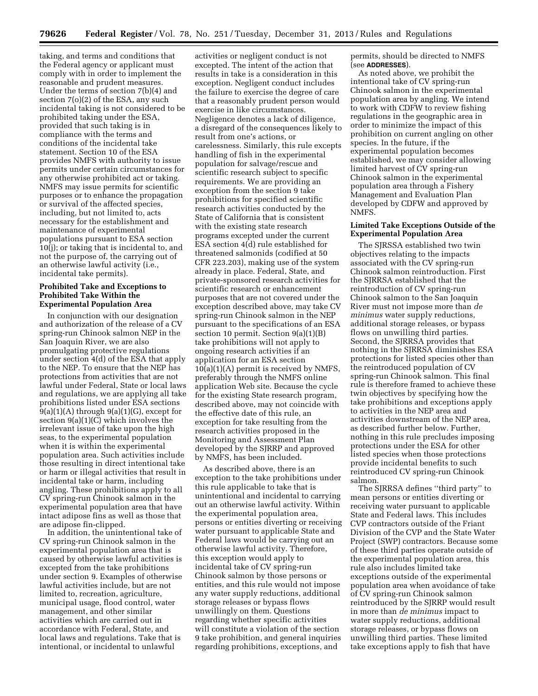taking, and terms and conditions that the Federal agency or applicant must comply with in order to implement the reasonable and prudent measures. Under the terms of section 7(b)(4) and section 7(o)(2) of the ESA, any such incidental taking is not considered to be prohibited taking under the ESA, provided that such taking is in compliance with the terms and conditions of the incidental take statement. Section 10 of the ESA provides NMFS with authority to issue permits under certain circumstances for any otherwise prohibited act or taking. NMFS may issue permits for scientific purposes or to enhance the propagation or survival of the affected species, including, but not limited to, acts necessary for the establishment and maintenance of experimental populations pursuant to ESA section 10(j); or taking that is incidental to, and not the purpose of, the carrying out of an otherwise lawful activity (i.e., incidental take permits).

## **Prohibited Take and Exceptions to Prohibited Take Within the Experimental Population Area**

In conjunction with our designation and authorization of the release of a CV spring-run Chinook salmon NEP in the San Joaquin River, we are also promulgating protective regulations under section 4(d) of the ESA that apply to the NEP. To ensure that the NEP has protections from activities that are not lawful under Federal, State or local laws and regulations, we are applying all take prohibitions listed under ESA sections  $9(a)(1)(A)$  through  $9(a)(1)(G)$ , except for section  $9(a)(1)(C)$  which involves the irrelevant issue of take upon the high seas, to the experimental population when it is within the experimental population area. Such activities include those resulting in direct intentional take or harm or illegal activities that result in incidental take or harm, including angling. These prohibitions apply to all CV spring-run Chinook salmon in the experimental population area that have intact adipose fins as well as those that are adipose fin-clipped.

In addition, the unintentional take of CV spring-run Chinook salmon in the experimental population area that is caused by otherwise lawful activities is excepted from the take prohibitions under section 9. Examples of otherwise lawful activities include, but are not limited to, recreation, agriculture, municipal usage, flood control, water management, and other similar activities which are carried out in accordance with Federal, State, and local laws and regulations. Take that is intentional, or incidental to unlawful

activities or negligent conduct is not excepted. The intent of the action that results in take is a consideration in this exception. Negligent conduct includes the failure to exercise the degree of care that a reasonably prudent person would exercise in like circumstances. Negligence denotes a lack of diligence, a disregard of the consequences likely to result from one's actions, or carelessness. Similarly, this rule excepts handling of fish in the experimental population for salvage/rescue and scientific research subject to specific requirements. We are providing an exception from the section 9 take prohibitions for specified scientific research activities conducted by the State of California that is consistent with the existing state research programs excepted under the current ESA section 4(d) rule established for threatened salmonids (codified at 50 CFR 223.203), making use of the system already in place. Federal, State, and private-sponsored research activities for scientific research or enhancement purposes that are not covered under the exception described above, may take CV spring-run Chinook salmon in the NEP pursuant to the specifications of an ESA section 10 permit. Section 9(a)(1)(B) take prohibitions will not apply to ongoing research activities if an application for an ESA section 10(a)(1)(A) permit is received by NMFS, preferably through the NMFS online application Web site. Because the cycle for the existing State research program, described above, may not coincide with the effective date of this rule, an exception for take resulting from the research activities proposed in the Monitoring and Assessment Plan developed by the SJRRP and approved by NMFS, has been included.

As described above, there is an exception to the take prohibitions under this rule applicable to take that is unintentional and incidental to carrying out an otherwise lawful activity. Within the experimental population area, persons or entities diverting or receiving water pursuant to applicable State and Federal laws would be carrying out an otherwise lawful activity. Therefore, this exception would apply to incidental take of CV spring-run Chinook salmon by those persons or entities, and this rule would not impose any water supply reductions, additional storage releases or bypass flows unwillingly on them. Questions regarding whether specific activities will constitute a violation of the section 9 take prohibition, and general inquiries regarding prohibitions, exceptions, and

permits, should be directed to NMFS (see **ADDRESSES**).

As noted above, we prohibit the intentional take of CV spring-run Chinook salmon in the experimental population area by angling. We intend to work with CDFW to review fishing regulations in the geographic area in order to minimize the impact of this prohibition on current angling on other species. In the future, if the experimental population becomes established, we may consider allowing limited harvest of CV spring-run Chinook salmon in the experimental population area through a Fishery Management and Evaluation Plan developed by CDFW and approved by NMFS.

# **Limited Take Exceptions Outside of the Experimental Population Area**

The SJRSSA established two twin objectives relating to the impacts associated with the CV spring-run Chinook salmon reintroduction. First the SJRRSA established that the reintroduction of CV spring-run Chinook salmon to the San Joaquin River must not impose more than *de minimus* water supply reductions, additional storage releases, or bypass flows on unwilling third parties. Second, the SJRRSA provides that nothing in the SJRRSA diminishes ESA protections for listed species other than the reintroduced population of CV spring-run Chinook salmon. This final rule is therefore framed to achieve these twin objectives by specifying how the take prohibitions and exceptions apply to activities in the NEP area and activities downstream of the NEP area, as described further below. Further, nothing in this rule precludes imposing protections under the ESA for other listed species when those protections provide incidental benefits to such reintroduced CV spring-run Chinook salmon.

The SJRRSA defines ''third party'' to mean persons or entities diverting or receiving water pursuant to applicable State and Federal laws. This includes CVP contractors outside of the Friant Division of the CVP and the State Water Project (SWP) contractors. Because some of these third parties operate outside of the experimental population area, this rule also includes limited take exceptions outside of the experimental population area when avoidance of take of CV spring-run Chinook salmon reintroduced by the SJRRP would result in more than *de minimus* impact to water supply reductions, additional storage releases, or bypass flows on unwilling third parties. These limited take exceptions apply to fish that have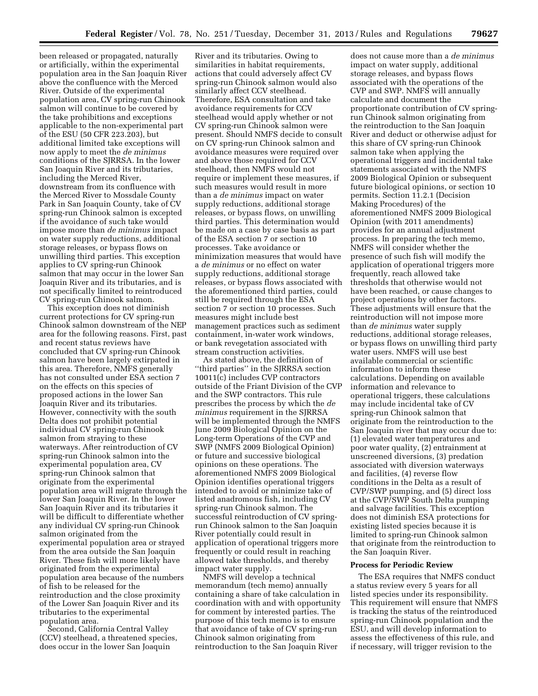been released or propagated, naturally or artificially, within the experimental population area in the San Joaquin River above the confluence with the Merced River. Outside of the experimental population area, CV spring-run Chinook salmon will continue to be covered by the take prohibitions and exceptions applicable to the non-experimental part of the ESU (50 CFR 223.203), but additional limited take exceptions will now apply to meet the *de minimus*  conditions of the SJRRSA. In the lower San Joaquin River and its tributaries, including the Merced River, downstream from its confluence with the Merced River to Mossdale County Park in San Joaquin County, take of CV spring-run Chinook salmon is excepted if the avoidance of such take would impose more than *de minimus* impact on water supply reductions, additional storage releases, or bypass flows on unwilling third parties. This exception applies to CV spring-run Chinook salmon that may occur in the lower San Joaquin River and its tributaries, and is not specifically limited to reintroduced CV spring-run Chinook salmon.

This exception does not diminish current protections for CV spring-run Chinook salmon downstream of the NEP area for the following reasons. First, past and recent status reviews have concluded that CV spring-run Chinook salmon have been largely extirpated in this area. Therefore, NMFS generally has not consulted under ESA section 7 on the effects on this species of proposed actions in the lower San Joaquin River and its tributaries. However, connectivity with the south Delta does not prohibit potential individual CV spring-run Chinook salmon from straying to these waterways. After reintroduction of CV spring-run Chinook salmon into the experimental population area, CV spring-run Chinook salmon that originate from the experimental population area will migrate through the lower San Joaquin River. In the lower San Joaquin River and its tributaries it will be difficult to differentiate whether any individual CV spring-run Chinook salmon originated from the experimental population area or strayed from the area outside the San Joaquin River. These fish will more likely have originated from the experimental population area because of the numbers of fish to be released for the reintroduction and the close proximity of the Lower San Joaquin River and its tributaries to the experimental population area.

Second, California Central Valley (CCV) steelhead, a threatened species, does occur in the lower San Joaquin

River and its tributaries. Owing to similarities in habitat requirements, actions that could adversely affect CV spring-run Chinook salmon would also similarly affect CCV steelhead. Therefore, ESA consultation and take avoidance requirements for CCV steelhead would apply whether or not CV spring-run Chinook salmon were present. Should NMFS decide to consult on CV spring-run Chinook salmon and avoidance measures were required over and above those required for CCV steelhead, then NMFS would not require or implement these measures, if such measures would result in more than a *de minimus* impact on water supply reductions, additional storage releases, or bypass flows, on unwilling third parties. This determination would be made on a case by case basis as part of the ESA section 7 or section 10 processes. Take avoidance or minimization measures that would have a *de minimus* or no effect on water supply reductions, additional storage releases, or bypass flows associated with the aforementioned third parties, could still be required through the ESA section 7 or section 10 processes. Such measures might include best management practices such as sediment containment, in-water work windows, or bank revegetation associated with stream construction activities.

As stated above, the definition of ''third parties'' in the SJRRSA section 10011(c) includes CVP contractors outside of the Friant Division of the CVP and the SWP contractors. This rule prescribes the process by which the *de minimus* requirement in the SJRRSA will be implemented through the NMFS June 2009 Biological Opinion on the Long-term Operations of the CVP and SWP (NMFS 2009 Biological Opinion) or future and successive biological opinions on these operations. The aforementioned NMFS 2009 Biological Opinion identifies operational triggers intended to avoid or minimize take of listed anadromous fish, including CV spring-run Chinook salmon. The successful reintroduction of CV springrun Chinook salmon to the San Joaquin River potentially could result in application of operational triggers more frequently or could result in reaching allowed take thresholds, and thereby impact water supply.

NMFS will develop a technical memorandum (tech memo) annually containing a share of take calculation in coordination with and with opportunity for comment by interested parties. The purpose of this tech memo is to ensure that avoidance of take of CV spring-run Chinook salmon originating from reintroduction to the San Joaquin River

does not cause more than a *de minimus*  impact on water supply, additional storage releases, and bypass flows associated with the operations of the CVP and SWP. NMFS will annually calculate and document the proportionate contribution of CV springrun Chinook salmon originating from the reintroduction to the San Joaquin River and deduct or otherwise adjust for this share of CV spring-run Chinook salmon take when applying the operational triggers and incidental take statements associated with the NMFS 2009 Biological Opinion or subsequent future biological opinions, or section 10 permits. Section 11.2.1 (Decision Making Procedures) of the aforementioned NMFS 2009 Biological Opinion (with 2011 amendments) provides for an annual adjustment process. In preparing the tech memo, NMFS will consider whether the presence of such fish will modify the application of operational triggers more frequently, reach allowed take thresholds that otherwise would not have been reached, or cause changes to project operations by other factors. These adjustments will ensure that the reintroduction will not impose more than *de minimus* water supply reductions, additional storage releases, or bypass flows on unwilling third party water users. NMFS will use best available commercial or scientific information to inform these calculations. Depending on available information and relevance to operational triggers, these calculations may include incidental take of CV spring-run Chinook salmon that originate from the reintroduction to the San Joaquin river that may occur due to: (1) elevated water temperatures and poor water quality, (2) entrainment at unscreened diversions, (3) predation associated with diversion waterways and facilities, (4) reverse flow conditions in the Delta as a result of CVP/SWP pumping, and (5) direct loss at the CVP/SWP South Delta pumping and salvage facilities. This exception does not diminish ESA protections for existing listed species because it is limited to spring-run Chinook salmon that originate from the reintroduction to the San Joaquin River.

### **Process for Periodic Review**

The ESA requires that NMFS conduct a status review every 5 years for all listed species under its responsibility. This requirement will ensure that NMFS is tracking the status of the reintroduced spring-run Chinook population and the ESU, and will develop information to assess the effectiveness of this rule, and if necessary, will trigger revision to the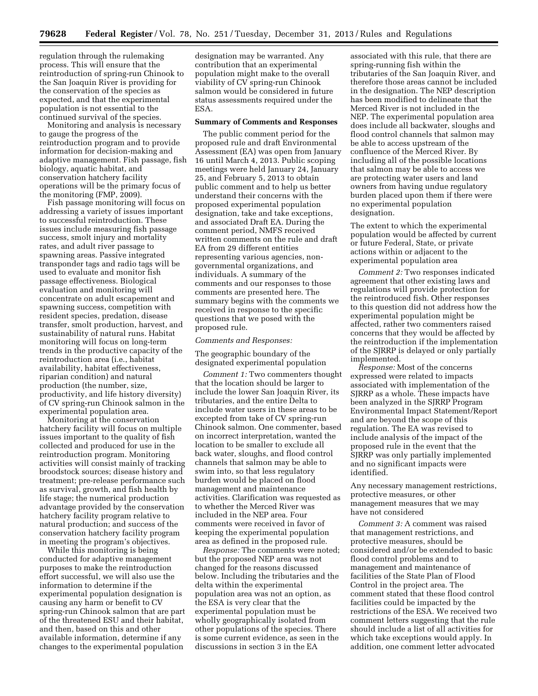regulation through the rulemaking process. This will ensure that the reintroduction of spring-run Chinook to the San Joaquin River is providing for the conservation of the species as expected, and that the experimental population is not essential to the continued survival of the species.

Monitoring and analysis is necessary to gauge the progress of the reintroduction program and to provide information for decision-making and adaptive management. Fish passage, fish biology, aquatic habitat, and conservation hatchery facility operations will be the primary focus of the monitoring (FMP, 2009).

Fish passage monitoring will focus on addressing a variety of issues important to successful reintroduction. These issues include measuring fish passage success, smolt injury and mortality rates, and adult river passage to spawning areas. Passive integrated transponder tags and radio tags will be used to evaluate and monitor fish passage effectiveness. Biological evaluation and monitoring will concentrate on adult escapement and spawning success, competition with resident species, predation, disease transfer, smolt production, harvest, and sustainability of natural runs. Habitat monitoring will focus on long-term trends in the productive capacity of the reintroduction area (i.e., habitat availability, habitat effectiveness, riparian condition) and natural production (the number, size, productivity, and life history diversity) of CV spring-run Chinook salmon in the experimental population area.

Monitoring at the conservation hatchery facility will focus on multiple issues important to the quality of fish collected and produced for use in the reintroduction program. Monitoring activities will consist mainly of tracking broodstock sources; disease history and treatment; pre-release performance such as survival, growth, and fish health by life stage; the numerical production advantage provided by the conservation hatchery facility program relative to natural production; and success of the conservation hatchery facility program in meeting the program's objectives.

While this monitoring is being conducted for adaptive management purposes to make the reintroduction effort successful, we will also use the information to determine if the experimental population designation is causing any harm or benefit to CV spring-run Chinook salmon that are part of the threatened ESU and their habitat, and then, based on this and other available information, determine if any changes to the experimental population

designation may be warranted. Any contribution that an experimental population might make to the overall viability of CV spring-run Chinook salmon would be considered in future status assessments required under the ESA.

#### **Summary of Comments and Responses**

The public comment period for the proposed rule and draft Environmental Assessment (EA) was open from January 16 until March 4, 2013. Public scoping meetings were held January 24, January 25, and February 5, 2013 to obtain public comment and to help us better understand their concerns with the proposed experimental population designation, take and take exceptions, and associated Draft EA. During the comment period, NMFS received written comments on the rule and draft EA from 29 different entities representing various agencies, nongovernmental organizations, and individuals. A summary of the comments and our responses to those comments are presented here. The summary begins with the comments we received in response to the specific questions that we posed with the proposed rule.

#### *Comments and Responses:*

The geographic boundary of the designated experimental population

*Comment 1:* Two commenters thought that the location should be larger to include the lower San Joaquin River, its tributaries, and the entire Delta to include water users in these areas to be excepted from take of CV spring-run Chinook salmon. One commenter, based on incorrect interpretation, wanted the location to be smaller to exclude all back water, sloughs, and flood control channels that salmon may be able to swim into, so that less regulatory burden would be placed on flood management and maintenance activities. Clarification was requested as to whether the Merced River was included in the NEP area. Four comments were received in favor of keeping the experimental population area as defined in the proposed rule.

*Response:* The comments were noted; but the proposed NEP area was not changed for the reasons discussed below. Including the tributaries and the delta within the experimental population area was not an option, as the ESA is very clear that the experimental population must be wholly geographically isolated from other populations of the species. There is some current evidence, as seen in the discussions in section 3 in the EA

associated with this rule, that there are spring-running fish within the tributaries of the San Joaquin River, and therefore those areas cannot be included in the designation. The NEP description has been modified to delineate that the Merced River is not included in the NEP. The experimental population area does include all backwater, sloughs and flood control channels that salmon may be able to access upstream of the confluence of the Merced River. By including all of the possible locations that salmon may be able to access we are protecting water users and land owners from having undue regulatory burden placed upon them if there were no experimental population designation.

The extent to which the experimental population would be affected by current or future Federal, State, or private actions within or adjacent to the experimental population area

*Comment 2:* Two responses indicated agreement that other existing laws and regulations will provide protection for the reintroduced fish. Other responses to this question did not address how the experimental population might be affected, rather two commenters raised concerns that they would be affected by the reintroduction if the implementation of the SJRRP is delayed or only partially implemented.

*Response:* Most of the concerns expressed were related to impacts associated with implementation of the SJRRP as a whole. These impacts have been analyzed in the SJRRP Program Environmental Impact Statement/Report and are beyond the scope of this regulation. The EA was revised to include analysis of the impact of the proposed rule in the event that the SJRRP was only partially implemented and no significant impacts were identified.

Any necessary management restrictions, protective measures, or other management measures that we may have not considered

*Comment 3:* A comment was raised that management restrictions, and protective measures, should be considered and/or be extended to basic flood control problems and to management and maintenance of facilities of the State Plan of Flood Control in the project area. The comment stated that these flood control facilities could be impacted by the restrictions of the ESA. We received two comment letters suggesting that the rule should include a list of all activities for which take exceptions would apply. In addition, one comment letter advocated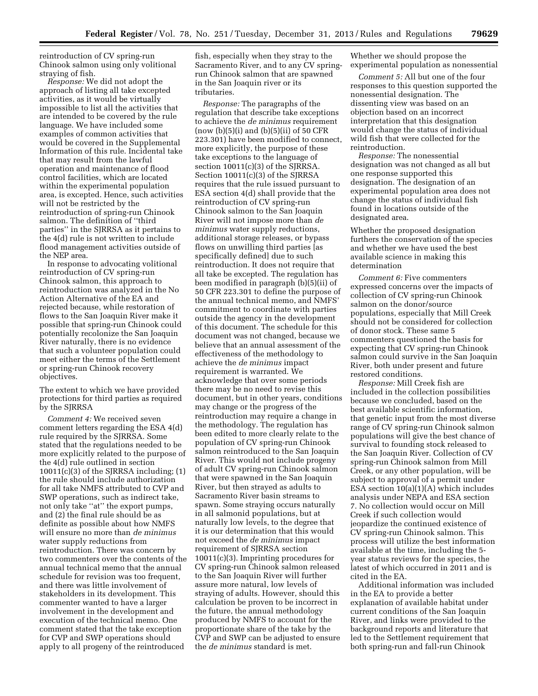reintroduction of CV spring-run Chinook salmon using only volitional straying of fish.

*Response:* We did not adopt the approach of listing all take excepted activities, as it would be virtually impossible to list all the activities that are intended to be covered by the rule language. We have included some examples of common activities that would be covered in the Supplemental Information of this rule. Incidental take that may result from the lawful operation and maintenance of flood control facilities, which are located within the experimental population area, is excepted. Hence, such activities will not be restricted by the reintroduction of spring-run Chinook salmon. The definition of ''third parties'' in the SJRRSA as it pertains to the 4(d) rule is not written to include flood management activities outside of the NEP area.

In response to advocating volitional reintroduction of CV spring-run Chinook salmon, this approach to reintroduction was analyzed in the No Action Alternative of the EA and rejected because, while restoration of flows to the San Joaquin River make it possible that spring-run Chinook could potentially recolonize the San Joaquin River naturally, there is no evidence that such a volunteer population could meet either the terms of the Settlement or spring-run Chinook recovery objectives.

The extent to which we have provided protections for third parties as required by the SJRRSA

*Comment 4:* We received seven comment letters regarding the ESA 4(d) rule required by the SJRRSA. Some stated that the regulations needed to be more explicitly related to the purpose of the 4(d) rule outlined in section 10011(c)(3) of the SJRRSA including; (1) the rule should include authorization for all take NMFS attributed to CVP and SWP operations, such as indirect take, not only take ''at'' the export pumps, and (2) the final rule should be as definite as possible about how NMFS will ensure no more than *de minimus*  water supply reductions from reintroduction. There was concern by two commenters over the contents of the annual technical memo that the annual schedule for revision was too frequent, and there was little involvement of stakeholders in its development. This commenter wanted to have a larger involvement in the development and execution of the technical memo. One comment stated that the take exception for CVP and SWP operations should apply to all progeny of the reintroduced

fish, especially when they stray to the Sacramento River, and to any CV springrun Chinook salmon that are spawned in the San Joaquin river or its tributaries.

*Response:* The paragraphs of the regulation that describe take exceptions to achieve the *de minimus* requirement (now  $(b)(5)(i)$  and  $(b)(5)(ii)$  of 50 CFR 223.301) have been modified to connect, more explicitly, the purpose of these take exceptions to the language of section 10011(c)(3) of the SJRRSA. Section 10011(c)(3) of the SJRRSA requires that the rule issued pursuant to ESA section 4(d) shall provide that the reintroduction of CV spring-run Chinook salmon to the San Joaquin River will not impose more than *de minimus* water supply reductions, additional storage releases, or bypass flows on unwilling third parties [as specifically defined] due to such reintroduction. It does not require that all take be excepted. The regulation has been modified in paragraph (b)(5)(ii) of 50 CFR 223.301 to define the purpose of the annual technical memo, and NMFS' commitment to coordinate with parties outside the agency in the development of this document. The schedule for this document was not changed, because we believe that an annual assessment of the effectiveness of the methodology to achieve the *de minimus* impact requirement is warranted. We acknowledge that over some periods there may be no need to revise this document, but in other years, conditions may change or the progress of the reintroduction may require a change in the methodology. The regulation has been edited to more clearly relate to the population of CV spring-run Chinook salmon reintroduced to the San Joaquin River. This would not include progeny of adult CV spring-run Chinook salmon that were spawned in the San Joaquin River, but then strayed as adults to Sacramento River basin streams to spawn. Some straying occurs naturally in all salmonid populations, but at naturally low levels, to the degree that it is our determination that this would not exceed the *de minimus* impact requirement of SJRRSA section 10011(c)(3). Imprinting procedures for CV spring-run Chinook salmon released to the San Joaquin River will further assure more natural, low levels of straying of adults. However, should this calculation be proven to be incorrect in the future, the annual methodology produced by NMFS to account for the proportionate share of the take by the CVP and SWP can be adjusted to ensure the *de minimus* standard is met.

Whether we should propose the experimental population as nonessential

*Comment 5:* All but one of the four responses to this question supported the nonessential designation. The dissenting view was based on an objection based on an incorrect interpretation that this designation would change the status of individual wild fish that were collected for the reintroduction.

*Response:* The nonessential designation was not changed as all but one response supported this designation. The designation of an experimental population area does not change the status of individual fish found in locations outside of the designated area.

Whether the proposed designation furthers the conservation of the species and whether we have used the best available science in making this determination

*Comment 6:* Five commenters expressed concerns over the impacts of collection of CV spring-run Chinook salmon on the donor/source populations, especially that Mill Creek should not be considered for collection of donor stock. These same 5 commenters questioned the basis for expecting that CV spring-run Chinook salmon could survive in the San Joaquin River, both under present and future restored conditions.

*Response:* Mill Creek fish are included in the collection possibilities because we concluded, based on the best available scientific information, that genetic input from the most diverse range of CV spring-run Chinook salmon populations will give the best chance of survival to founding stock released to the San Joaquin River. Collection of CV spring-run Chinook salmon from Mill Creek, or any other population, will be subject to approval of a permit under ESA section 10(a)(1)(A) which includes analysis under NEPA and ESA section 7. No collection would occur on Mill Creek if such collection would jeopardize the continued existence of CV spring-run Chinook salmon. This process will utilize the best information available at the time, including the 5 year status reviews for the species, the latest of which occurred in 2011 and is cited in the EA.

Additional information was included in the EA to provide a better explanation of available habitat under current conditions of the San Joaquin River, and links were provided to the background reports and literature that led to the Settlement requirement that both spring-run and fall-run Chinook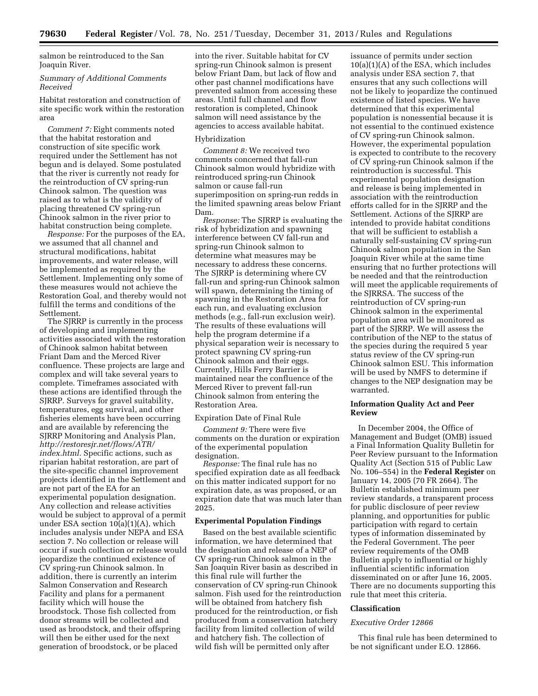salmon be reintroduced to the San Joaquin River.

## *Summary of Additional Comments Received*

Habitat restoration and construction of site specific work within the restoration area

*Comment 7:* Eight comments noted that the habitat restoration and construction of site specific work required under the Settlement has not begun and is delayed. Some postulated that the river is currently not ready for the reintroduction of CV spring-run Chinook salmon. The question was raised as to what is the validity of placing threatened CV spring-run Chinook salmon in the river prior to habitat construction being complete.

*Response:* For the purposes of the EA, we assumed that all channel and structural modifications, habitat improvements, and water release, will be implemented as required by the Settlement. Implementing only some of these measures would not achieve the Restoration Goal, and thereby would not fulfill the terms and conditions of the **Settlement** 

The SJRRP is currently in the process of developing and implementing activities associated with the restoration of Chinook salmon habitat between Friant Dam and the Merced River confluence. These projects are large and complex and will take several years to complete. Timeframes associated with these actions are identified through the SJRRP. Surveys for gravel suitability, temperatures, egg survival, and other fisheries elements have been occurring and are available by referencing the SJRRP Monitoring and Analysis Plan, *[http://restoresjr.net/flows/ATR/](http://restoresjr.net/flows/ATR/index.html) [index.html.](http://restoresjr.net/flows/ATR/index.html)* Specific actions, such as riparian habitat restoration, are part of the site-specific channel improvement projects identified in the Settlement and are not part of the EA for an experimental population designation. Any collection and release activities would be subject to approval of a permit under ESA section 10(a)(1)(A), which includes analysis under NEPA and ESA section 7. No collection or release will occur if such collection or release would jeopardize the continued existence of CV spring-run Chinook salmon. In addition, there is currently an interim Salmon Conservation and Research Facility and plans for a permanent facility which will house the broodstock. Those fish collected from donor streams will be collected and used as broodstock, and their offspring will then be either used for the next generation of broodstock, or be placed

into the river. Suitable habitat for CV spring-run Chinook salmon is present below Friant Dam, but lack of flow and other past channel modifications have prevented salmon from accessing these areas. Until full channel and flow restoration is completed, Chinook salmon will need assistance by the agencies to access available habitat.

### Hybridization

*Comment 8:* We received two comments concerned that fall-run Chinook salmon would hybridize with reintroduced spring-run Chinook salmon or cause fall-run superimposition on spring-run redds in the limited spawning areas below Friant Dam.

*Response:* The SJRRP is evaluating the risk of hybridization and spawning interference between CV fall-run and spring-run Chinook salmon to determine what measures may be necessary to address these concerns. The SJRRP is determining where CV fall-run and spring-run Chinook salmon will spawn, determining the timing of spawning in the Restoration Area for each run, and evaluating exclusion methods (e.g., fall-run exclusion weir). The results of these evaluations will help the program determine if a physical separation weir is necessary to protect spawning CV spring-run Chinook salmon and their eggs. Currently, Hills Ferry Barrier is maintained near the confluence of the Merced River to prevent fall-run Chinook salmon from entering the Restoration Area.

# Expiration Date of Final Rule

*Comment 9:* There were five comments on the duration or expiration of the experimental population designation.

*Response:* The final rule has no specified expiration date as all feedback on this matter indicated support for no expiration date, as was proposed, or an expiration date that was much later than 2025.

### **Experimental Population Findings**

Based on the best available scientific information, we have determined that the designation and release of a NEP of CV spring-run Chinook salmon in the San Joaquin River basin as described in this final rule will further the conservation of CV spring-run Chinook salmon. Fish used for the reintroduction will be obtained from hatchery fish produced for the reintroduction, or fish produced from a conservation hatchery facility from limited collection of wild and hatchery fish. The collection of wild fish will be permitted only after

issuance of permits under section 10(a)(1)(A) of the ESA, which includes analysis under ESA section 7, that ensures that any such collections will not be likely to jeopardize the continued existence of listed species. We have determined that this experimental population is nonessential because it is not essential to the continued existence of CV spring-run Chinook salmon. However, the experimental population is expected to contribute to the recovery of CV spring-run Chinook salmon if the reintroduction is successful. This experimental population designation and release is being implemented in association with the reintroduction efforts called for in the SJRRP and the Settlement. Actions of the SJRRP are intended to provide habitat conditions that will be sufficient to establish a naturally self-sustaining CV spring-run Chinook salmon population in the San Joaquin River while at the same time ensuring that no further protections will be needed and that the reintroduction will meet the applicable requirements of the SJRRSA. The success of the reintroduction of CV spring-run Chinook salmon in the experimental population area will be monitored as part of the SJRRP. We will assess the contribution of the NEP to the status of the species during the required 5 year status review of the CV spring-run Chinook salmon ESU. This information will be used by NMFS to determine if changes to the NEP designation may be warranted.

## **Information Quality Act and Peer Review**

In December 2004, the Office of Management and Budget (OMB) issued a Final Information Quality Bulletin for Peer Review pursuant to the Information Quality Act (Section 515 of Public Law No. 106–554) in the **Federal Register** on January 14, 2005 (70 FR 2664). The Bulletin established minimum peer review standards, a transparent process for public disclosure of peer review planning, and opportunities for public participation with regard to certain types of information disseminated by the Federal Government. The peer review requirements of the OMB Bulletin apply to influential or highly influential scientific information disseminated on or after June 16, 2005. There are no documents supporting this rule that meet this criteria.

#### **Classification**

#### *Executive Order 12866*

This final rule has been determined to be not significant under E.O. 12866.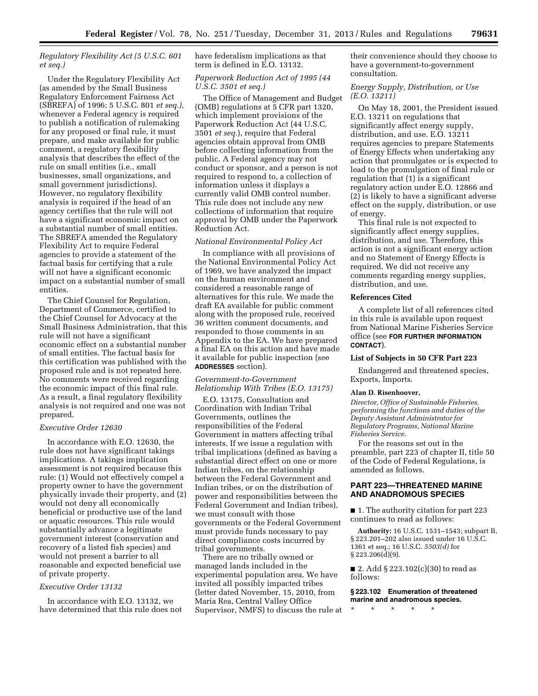# *Regulatory Flexibility Act (5 U.S.C. 601 et seq.)*

Under the Regulatory Flexibility Act (as amended by the Small Business Regulatory Enforcement Fairness Act (SBREFA) of 1996; 5 U.S.C. 801 *et seq.),*  whenever a Federal agency is required to publish a notification of rulemaking for any proposed or final rule, it must prepare, and make available for public comment, a regulatory flexibility analysis that describes the effect of the rule on small entities (i.e., small businesses, small organizations, and small government jurisdictions). However, no regulatory flexibility analysis is required if the head of an agency certifies that the rule will not have a significant economic impact on a substantial number of small entities. The SBREFA amended the Regulatory Flexibility Act to require Federal agencies to provide a statement of the factual basis for certifying that a rule will not have a significant economic impact on a substantial number of small entities.

The Chief Counsel for Regulation, Department of Commerce, certified to the Chief Counsel for Advocacy at the Small Business Administration, that this rule will not have a significant economic effect on a substantial number of small entities. The factual basis for this certification was published with the proposed rule and is not repeated here. No comments were received regarding the economic impact of this final rule. As a result, a final regulatory flexibility analysis is not required and one was not prepared.

## *Executive Order 12630*

In accordance with E.O. 12630, the rule does not have significant takings implications. A takings implication assessment is not required because this rule: (1) Would not effectively compel a property owner to have the government physically invade their property, and (2) would not deny all economically beneficial or productive use of the land or aquatic resources. This rule would substantially advance a legitimate government interest (conservation and recovery of a listed fish species) and would not present a barrier to all reasonable and expected beneficial use of private property.

## *Executive Order 13132*

In accordance with E.O. 13132, we have determined that this rule does not have federalism implications as that term is defined in E.O. 13132.

# *Paperwork Reduction Act of 1995 (44 U.S.C. 3501 et seq.)*

The Office of Management and Budget (OMB) regulations at 5 CFR part 1320, which implement provisions of the Paperwork Reduction Act (44 U.S.C. 3501 *et seq.*), require that Federal agencies obtain approval from OMB before collecting information from the public. A Federal agency may not conduct or sponsor, and a person is not required to respond to, a collection of information unless it displays a currently valid OMB control number. This rule does not include any new collections of information that require approval by OMB under the Paperwork Reduction Act.

# *National Environmental Policy Act*

In compliance with all provisions of the National Environmental Policy Act of 1969, we have analyzed the impact on the human environment and considered a reasonable range of alternatives for this rule. We made the draft EA available for public comment along with the proposed rule, received 36 written comment documents, and responded to those comments in an Appendix to the EA. We have prepared a final EA on this action and have made it available for public inspection (see **ADDRESSES** section).

# *Government-to-Government Relationship With Tribes (E.O. 13175)*

E.O. 13175, Consultation and Coordination with Indian Tribal Governments, outlines the responsibilities of the Federal Government in matters affecting tribal interests. If we issue a regulation with tribal implications (defined as having a substantial direct effect on one or more Indian tribes, on the relationship between the Federal Government and Indian tribes, or on the distribution of power and responsibilities between the Federal Government and Indian tribes), we must consult with those governments or the Federal Government must provide funds necessary to pay direct compliance costs incurred by tribal governments.

There are no tribally owned or managed lands included in the experimental population area. We have invited all possibly impacted tribes (letter dated November, 15, 2010, from Maria Rea, Central Valley Office Supervisor, NMFS) to discuss the rule at their convenience should they choose to have a government-to-government consultation.

# *Energy Supply, Distribution, or Use (E.O. 13211)*

On May 18, 2001, the President issued E.O. 13211 on regulations that significantly affect energy supply, distribution, and use. E.O. 13211 requires agencies to prepare Statements of Energy Effects when undertaking any action that promulgates or is expected to lead to the promulgation of final rule or regulation that (1) is a significant regulatory action under E.O. 12866 and (2) is likely to have a significant adverse effect on the supply, distribution, or use of energy.

This final rule is not expected to significantly affect energy supplies, distribution, and use. Therefore, this action is not a significant energy action and no Statement of Energy Effects is required. We did not receive any comments regarding energy supplies, distribution, and use.

## **References Cited**

A complete list of all references cited in this rule is available upon request from National Marine Fisheries Service office (see **FOR FURTHER INFORMATION CONTACT**).

## **List of Subjects in 50 CFR Part 223**

Endangered and threatened species, Exports, Imports.

#### **Alan D. Risenhoover,**

*Director, Office of Sustainable Fisheries, performing the functions and duties of the Deputy Assistant Administrator for Regulatory Programs, National Marine Fisheries Service.* 

For the reasons set out in the preamble, part 223 of chapter II, title 50 of the Code of Federal Regulations, is amended as follows.

# **PART 223—THREATENED MARINE AND ANADROMOUS SPECIES**

■ 1. The authority citation for part 223 continues to read as follows:

**Authority:** 16 U.S.C. 1531–1543; subpart B, § 223.201–202 also issued under 16 U.S.C. 1361 et seq.; 16 U.S.C. *5503(d)* for  $\S 223.206(\tilde{d})(9)$ .

■ 2. Add § 223.102(c)(30) to read as follows:

# **§ 223.102 Enumeration of threatened marine and anadromous species.**

\* \* \* \* \*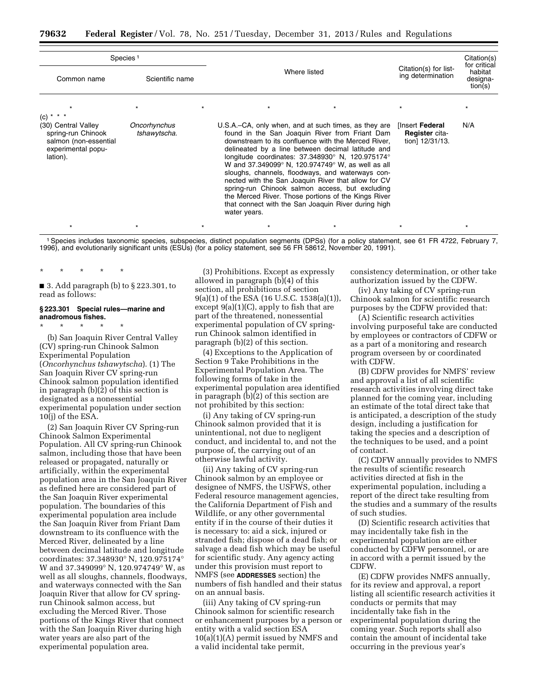| Species <sup>1</sup>                                                                                                  |                              |         |                                                                                                                                                                                                                                                                                                                                                                                                                                                                                                                                                                                                                                            |  |                                                     | Citation(s)<br>for critical    |
|-----------------------------------------------------------------------------------------------------------------------|------------------------------|---------|--------------------------------------------------------------------------------------------------------------------------------------------------------------------------------------------------------------------------------------------------------------------------------------------------------------------------------------------------------------------------------------------------------------------------------------------------------------------------------------------------------------------------------------------------------------------------------------------------------------------------------------------|--|-----------------------------------------------------|--------------------------------|
| Common name                                                                                                           | Scientific name              |         | Where listed                                                                                                                                                                                                                                                                                                                                                                                                                                                                                                                                                                                                                               |  | Citation(s) for list-<br>ing determination          | habitat<br>designa-<br>tion(s) |
|                                                                                                                       |                              | $\star$ |                                                                                                                                                                                                                                                                                                                                                                                                                                                                                                                                                                                                                                            |  |                                                     |                                |
| $(c) * * * *$<br>(30) Central Valley<br>spring-run Chinook<br>salmon (non-essential<br>experimental popu-<br>lation). | Oncorhynchus<br>tshawytscha. |         | U.S.A.–CA, only when, and at such times, as they are<br>found in the San Joaquin River from Friant Dam<br>downstream to its confluence with the Merced River,<br>delineated by a line between decimal latitude and<br>longitude coordinates: $37.348930^{\circ}$ N, 120.975174 $^{\circ}$<br>W and 37.349099° N, 120.974749° W, as well as all<br>sloughs, channels, floodways, and waterways con-<br>nected with the San Joaquin River that allow for CV<br>spring-run Chinook salmon access, but excluding<br>the Merced River. Those portions of the Kings River<br>that connect with the San Joaquin River during high<br>water years. |  | Insert Federal<br>Register cita-<br>tion] 12/31/13. | N/A                            |
|                                                                                                                       |                              |         |                                                                                                                                                                                                                                                                                                                                                                                                                                                                                                                                                                                                                                            |  |                                                     |                                |

1Species includes taxonomic species, subspecies, distinct population segments (DPSs) (for a policy statement, see 61 FR 4722, February 7, 1996), and evolutionarily significant units (ESUs) (for a policy statement, see 56 FR 58612, November 20, 1991).

■ 3. Add paragraph (b) to § 223.301, to read as follows:

### **§ 223.301 Special rules—marine and anadromous fishes.**

\* \* \* \* \*

\* \* \* \* \* (b) San Joaquin River Central Valley (CV) spring-run Chinook Salmon Experimental Population (*Oncorhynchus tshawytscha*). (1) The San Joaquin River CV spring-run Chinook salmon population identified in paragraph (b)(2) of this section is designated as a nonessential

experimental population under section 10(j) of the ESA.

(2) San Joaquin River CV Spring-run Chinook Salmon Experimental Population. All CV spring-run Chinook salmon, including those that have been released or propagated, naturally or artificially, within the experimental population area in the San Joaquin River as defined here are considered part of the San Joaquin River experimental population. The boundaries of this experimental population area include the San Joaquin River from Friant Dam downstream to its confluence with the Merced River, delineated by a line between decimal latitude and longitude coordinates: 37.348930° N, 120.975174° W and 37.349099° N, 120.974749° W, as well as all sloughs, channels, floodways, and waterways connected with the San Joaquin River that allow for CV springrun Chinook salmon access, but excluding the Merced River. Those portions of the Kings River that connect with the San Joaquin River during high water years are also part of the experimental population area.

(3) Prohibitions. Except as expressly allowed in paragraph (b)(4) of this section, all prohibitions of section 9(a)(1) of the ESA (16 U.S.C. 1538(a)(1)), except 9(a)(1)(C), apply to fish that are part of the threatened, nonessential experimental population of CV springrun Chinook salmon identified in paragraph (b)(2) of this section.

(4) Exceptions to the Application of Section 9 Take Prohibitions in the Experimental Population Area. The following forms of take in the experimental population area identified in paragraph (b)(2) of this section are not prohibited by this section:

(i) Any taking of CV spring-run Chinook salmon provided that it is unintentional, not due to negligent conduct, and incidental to, and not the purpose of, the carrying out of an otherwise lawful activity.

(ii) Any taking of CV spring-run Chinook salmon by an employee or designee of NMFS, the USFWS, other Federal resource management agencies, the California Department of Fish and Wildlife, or any other governmental entity if in the course of their duties it is necessary to: aid a sick, injured or stranded fish; dispose of a dead fish; or salvage a dead fish which may be useful for scientific study. Any agency acting under this provision must report to NMFS (see **ADDRESSES** section) the numbers of fish handled and their status on an annual basis.

(iii) Any taking of CV spring-run Chinook salmon for scientific research or enhancement purposes by a person or entity with a valid section ESA 10(a)(1)(A) permit issued by NMFS and a valid incidental take permit,

consistency determination, or other take authorization issued by the CDFW.

(iv) Any taking of CV spring-run Chinook salmon for scientific research purposes by the CDFW provided that:

(A) Scientific research activities involving purposeful take are conducted by employees or contractors of CDFW or as a part of a monitoring and research program overseen by or coordinated with CDFW.

(B) CDFW provides for NMFS' review and approval a list of all scientific research activities involving direct take planned for the coming year, including an estimate of the total direct take that is anticipated, a description of the study design, including a justification for taking the species and a description of the techniques to be used, and a point of contact.

(C) CDFW annually provides to NMFS the results of scientific research activities directed at fish in the experimental population, including a report of the direct take resulting from the studies and a summary of the results of such studies.

(D) Scientific research activities that may incidentally take fish in the experimental population are either conducted by CDFW personnel, or are in accord with a permit issued by the CDFW.

(E) CDFW provides NMFS annually, for its review and approval, a report listing all scientific research activities it conducts or permits that may incidentally take fish in the experimental population during the coming year. Such reports shall also contain the amount of incidental take occurring in the previous year's